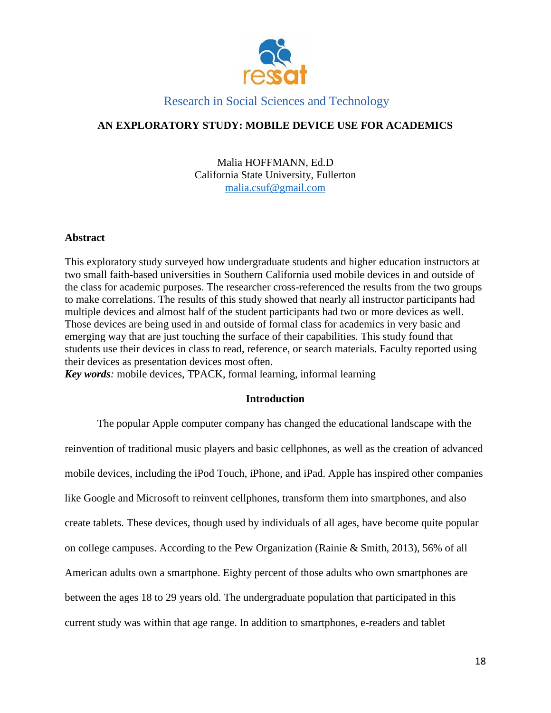

# **AN EXPLORATORY STUDY: MOBILE DEVICE USE FOR ACADEMICS**

Malia HOFFMANN, Ed.D California State University, Fullerton [malia.csuf@gmail.com](mailto:malia.csuf@gmail.com)

# **Abstract**

This exploratory study surveyed how undergraduate students and higher education instructors at two small faith-based universities in Southern California used mobile devices in and outside of the class for academic purposes. The researcher cross-referenced the results from the two groups to make correlations. The results of this study showed that nearly all instructor participants had multiple devices and almost half of the student participants had two or more devices as well. Those devices are being used in and outside of formal class for academics in very basic and emerging way that are just touching the surface of their capabilities. This study found that students use their devices in class to read, reference, or search materials. Faculty reported using their devices as presentation devices most often.

*Key words:* mobile devices, TPACK, formal learning, informal learning

# **Introduction**

The popular Apple computer company has changed the educational landscape with the reinvention of traditional music players and basic cellphones, as well as the creation of advanced mobile devices, including the iPod Touch, iPhone, and iPad. Apple has inspired other companies like Google and Microsoft to reinvent cellphones, transform them into smartphones, and also create tablets. These devices, though used by individuals of all ages, have become quite popular on college campuses. According to the Pew Organization (Rainie & Smith, 2013), 56% of all American adults own a smartphone. Eighty percent of those adults who own smartphones are between the ages 18 to 29 years old. The undergraduate population that participated in this current study was within that age range. In addition to smartphones, e-readers and tablet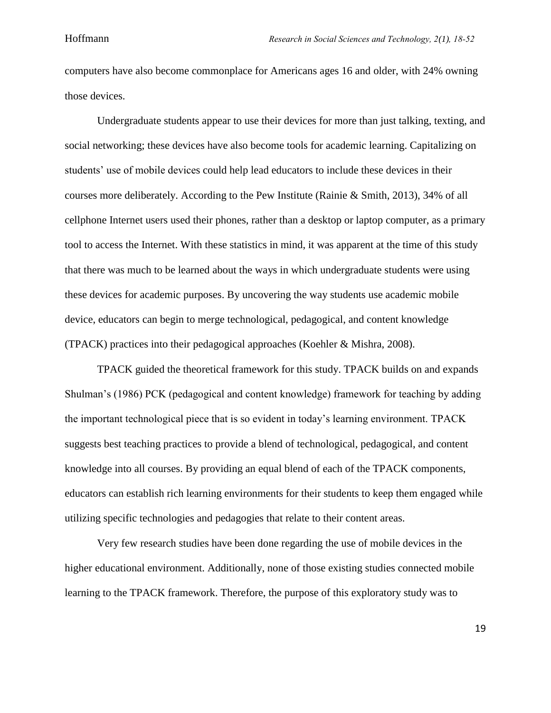computers have also become commonplace for Americans ages 16 and older, with 24% owning those devices.

Undergraduate students appear to use their devices for more than just talking, texting, and social networking; these devices have also become tools for academic learning. Capitalizing on students' use of mobile devices could help lead educators to include these devices in their courses more deliberately. According to the Pew Institute (Rainie & Smith, 2013), 34% of all cellphone Internet users used their phones, rather than a desktop or laptop computer, as a primary tool to access the Internet. With these statistics in mind, it was apparent at the time of this study that there was much to be learned about the ways in which undergraduate students were using these devices for academic purposes. By uncovering the way students use academic mobile device, educators can begin to merge technological, pedagogical, and content knowledge (TPACK) practices into their pedagogical approaches (Koehler & Mishra, 2008).

TPACK guided the theoretical framework for this study. TPACK builds on and expands Shulman's (1986) PCK (pedagogical and content knowledge) framework for teaching by adding the important technological piece that is so evident in today's learning environment. TPACK suggests best teaching practices to provide a blend of technological, pedagogical, and content knowledge into all courses. By providing an equal blend of each of the TPACK components, educators can establish rich learning environments for their students to keep them engaged while utilizing specific technologies and pedagogies that relate to their content areas.

Very few research studies have been done regarding the use of mobile devices in the higher educational environment. Additionally, none of those existing studies connected mobile learning to the TPACK framework. Therefore, the purpose of this exploratory study was to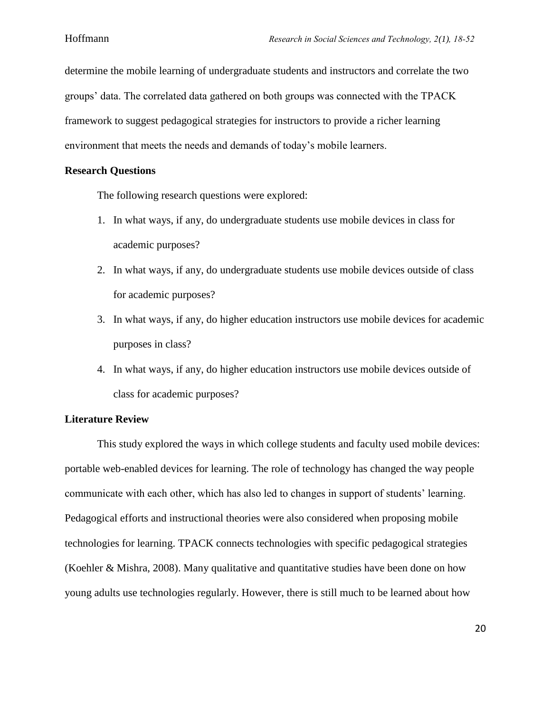determine the mobile learning of undergraduate students and instructors and correlate the two groups' data. The correlated data gathered on both groups was connected with the TPACK framework to suggest pedagogical strategies for instructors to provide a richer learning environment that meets the needs and demands of today's mobile learners.

### **Research Questions**

The following research questions were explored:

- 1. In what ways, if any, do undergraduate students use mobile devices in class for academic purposes?
- 2. In what ways, if any, do undergraduate students use mobile devices outside of class for academic purposes?
- 3. In what ways, if any, do higher education instructors use mobile devices for academic purposes in class?
- 4. In what ways, if any, do higher education instructors use mobile devices outside of class for academic purposes?

### **Literature Review**

This study explored the ways in which college students and faculty used mobile devices: portable web-enabled devices for learning. The role of technology has changed the way people communicate with each other, which has also led to changes in support of students' learning. Pedagogical efforts and instructional theories were also considered when proposing mobile technologies for learning. TPACK connects technologies with specific pedagogical strategies (Koehler & Mishra, 2008). Many qualitative and quantitative studies have been done on how young adults use technologies regularly. However, there is still much to be learned about how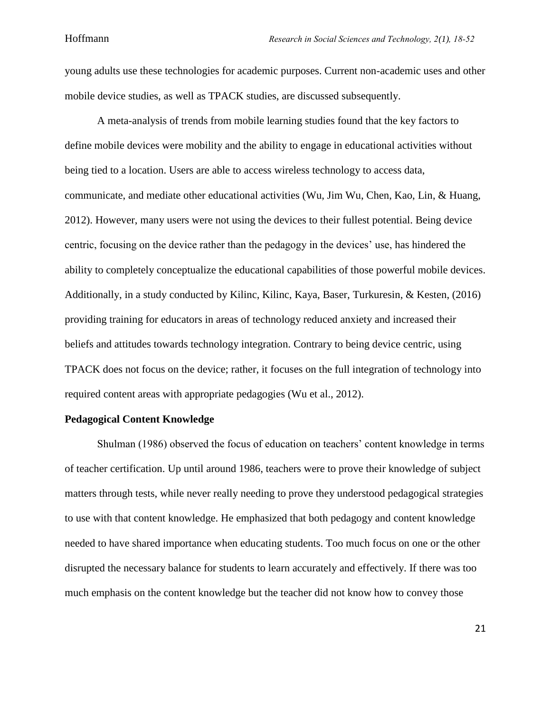young adults use these technologies for academic purposes. Current non-academic uses and other mobile device studies, as well as TPACK studies, are discussed subsequently.

A meta-analysis of trends from mobile learning studies found that the key factors to define mobile devices were mobility and the ability to engage in educational activities without being tied to a location. Users are able to access wireless technology to access data, communicate, and mediate other educational activities (Wu, Jim Wu, Chen, Kao, Lin, & Huang, 2012). However, many users were not using the devices to their fullest potential. Being device centric, focusing on the device rather than the pedagogy in the devices' use, has hindered the ability to completely conceptualize the educational capabilities of those powerful mobile devices. Additionally, in a study conducted by Kilinc, Kilinc, Kaya, Baser, Turkuresin, & Kesten, (2016) providing training for educators in areas of technology reduced anxiety and increased their beliefs and attitudes towards technology integration. Contrary to being device centric, using TPACK does not focus on the device; rather, it focuses on the full integration of technology into required content areas with appropriate pedagogies (Wu et al., 2012).

### **Pedagogical Content Knowledge**

Shulman (1986) observed the focus of education on teachers' content knowledge in terms of teacher certification. Up until around 1986, teachers were to prove their knowledge of subject matters through tests, while never really needing to prove they understood pedagogical strategies to use with that content knowledge. He emphasized that both pedagogy and content knowledge needed to have shared importance when educating students. Too much focus on one or the other disrupted the necessary balance for students to learn accurately and effectively. If there was too much emphasis on the content knowledge but the teacher did not know how to convey those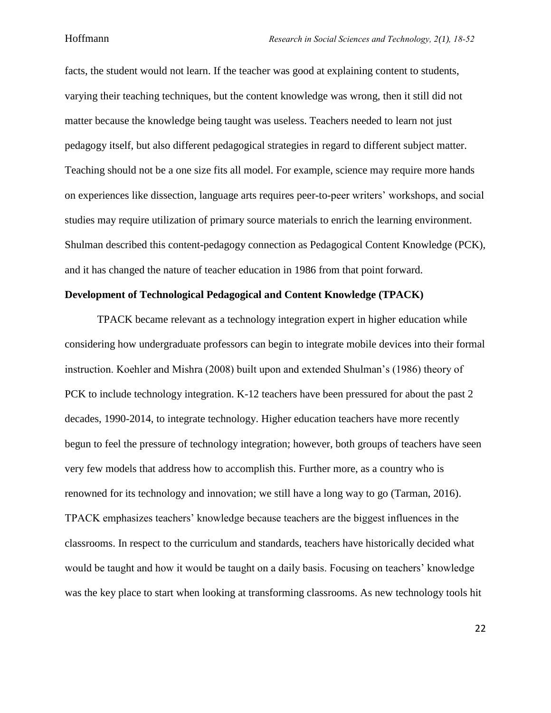facts, the student would not learn. If the teacher was good at explaining content to students, varying their teaching techniques, but the content knowledge was wrong, then it still did not matter because the knowledge being taught was useless. Teachers needed to learn not just pedagogy itself, but also different pedagogical strategies in regard to different subject matter. Teaching should not be a one size fits all model. For example, science may require more hands on experiences like dissection, language arts requires peer-to-peer writers' workshops, and social studies may require utilization of primary source materials to enrich the learning environment. Shulman described this content-pedagogy connection as Pedagogical Content Knowledge (PCK), and it has changed the nature of teacher education in 1986 from that point forward.

# **Development of Technological Pedagogical and Content Knowledge (TPACK)**

TPACK became relevant as a technology integration expert in higher education while considering how undergraduate professors can begin to integrate mobile devices into their formal instruction. Koehler and Mishra (2008) built upon and extended Shulman's (1986) theory of PCK to include technology integration. K-12 teachers have been pressured for about the past 2 decades, 1990-2014, to integrate technology. Higher education teachers have more recently begun to feel the pressure of technology integration; however, both groups of teachers have seen very few models that address how to accomplish this. Further more, as a country who is renowned for its technology and innovation; we still have a long way to go (Tarman, 2016). TPACK emphasizes teachers' knowledge because teachers are the biggest influences in the classrooms. In respect to the curriculum and standards, teachers have historically decided what would be taught and how it would be taught on a daily basis. Focusing on teachers' knowledge was the key place to start when looking at transforming classrooms. As new technology tools hit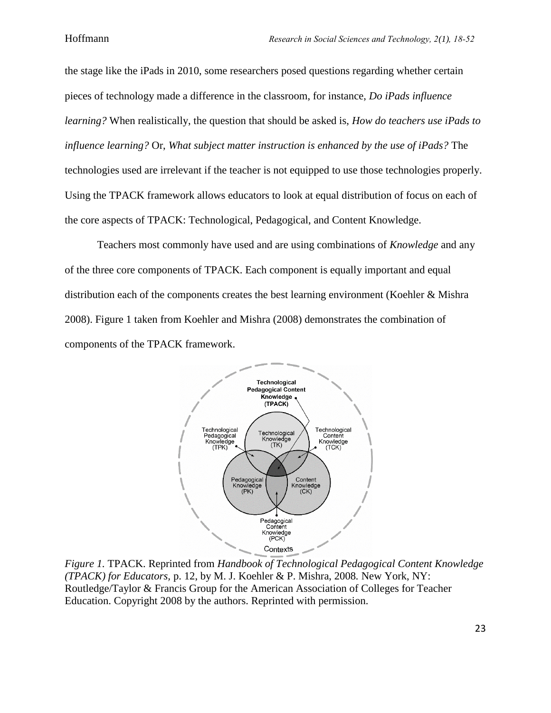the stage like the iPads in 2010, some researchers posed questions regarding whether certain pieces of technology made a difference in the classroom, for instance, *Do iPads influence learning?* When realistically, the question that should be asked is, *How do teachers use iPads to influence learning?* Or, *What subject matter instruction is enhanced by the use of iPads?* The technologies used are irrelevant if the teacher is not equipped to use those technologies properly. Using the TPACK framework allows educators to look at equal distribution of focus on each of the core aspects of TPACK: Technological, Pedagogical, and Content Knowledge*.*

Teachers most commonly have used and are using combinations of *Knowledge* and any of the three core components of TPACK. Each component is equally important and equal distribution each of the components creates the best learning environment (Koehler & Mishra 2008). Figure 1 taken from Koehler and Mishra (2008) demonstrates the combination of components of the TPACK framework.



*Figure 1.* TPACK. Reprinted from *Handbook of Technological Pedagogical Content Knowledge (TPACK) for Educators, p. 12, by M. J. Koehler & P. Mishra, 2008. New York, NY:* Routledge/Taylor & Francis Group for the American Association of Colleges for Teacher Education. Copyright 2008 by the authors. Reprinted with permission.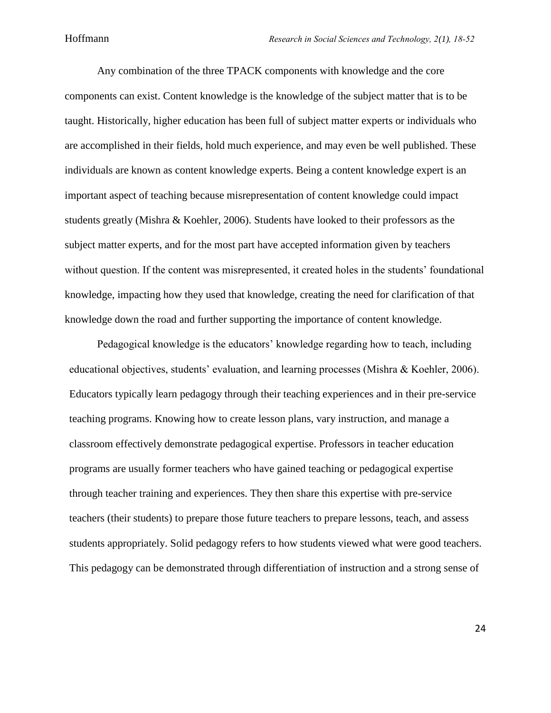Any combination of the three TPACK components with knowledge and the core components can exist. Content knowledge is the knowledge of the subject matter that is to be taught. Historically, higher education has been full of subject matter experts or individuals who are accomplished in their fields, hold much experience, and may even be well published. These individuals are known as content knowledge experts. Being a content knowledge expert is an important aspect of teaching because misrepresentation of content knowledge could impact students greatly (Mishra & Koehler, 2006). Students have looked to their professors as the subject matter experts, and for the most part have accepted information given by teachers without question. If the content was misrepresented, it created holes in the students' foundational knowledge, impacting how they used that knowledge, creating the need for clarification of that knowledge down the road and further supporting the importance of content knowledge.

Pedagogical knowledge is the educators' knowledge regarding how to teach, including educational objectives, students' evaluation, and learning processes (Mishra & Koehler, 2006). Educators typically learn pedagogy through their teaching experiences and in their pre-service teaching programs. Knowing how to create lesson plans, vary instruction, and manage a classroom effectively demonstrate pedagogical expertise. Professors in teacher education programs are usually former teachers who have gained teaching or pedagogical expertise through teacher training and experiences. They then share this expertise with pre-service teachers (their students) to prepare those future teachers to prepare lessons, teach, and assess students appropriately. Solid pedagogy refers to how students viewed what were good teachers. This pedagogy can be demonstrated through differentiation of instruction and a strong sense of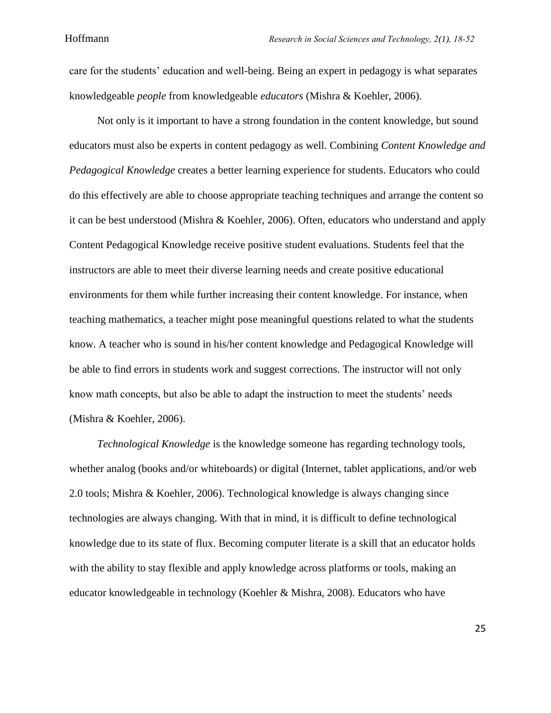care for the students' education and well-being. Being an expert in pedagogy is what separates knowledgeable *people* from knowledgeable *educators* (Mishra & Koehler, 2006).

Not only is it important to have a strong foundation in the content knowledge, but sound educators must also be experts in content pedagogy as well. Combining *Content Knowledge and Pedagogical Knowledge* creates a better learning experience for students. Educators who could do this effectively are able to choose appropriate teaching techniques and arrange the content so it can be best understood (Mishra & Koehler, 2006). Often, educators who understand and apply Content Pedagogical Knowledge receive positive student evaluations. Students feel that the instructors are able to meet their diverse learning needs and create positive educational environments for them while further increasing their content knowledge. For instance, when teaching mathematics, a teacher might pose meaningful questions related to what the students know. A teacher who is sound in his/her content knowledge and Pedagogical Knowledge will be able to find errors in students work and suggest corrections. The instructor will not only know math concepts, but also be able to adapt the instruction to meet the students' needs (Mishra & Koehler, 2006).

*Technological Knowledge* is the knowledge someone has regarding technology tools, whether analog (books and/or whiteboards) or digital (Internet, tablet applications, and/or web 2.0 tools; Mishra & Koehler, 2006). Technological knowledge is always changing since technologies are always changing. With that in mind, it is difficult to define technological knowledge due to its state of flux. Becoming computer literate is a skill that an educator holds with the ability to stay flexible and apply knowledge across platforms or tools, making an educator knowledgeable in technology (Koehler & Mishra, 2008). Educators who have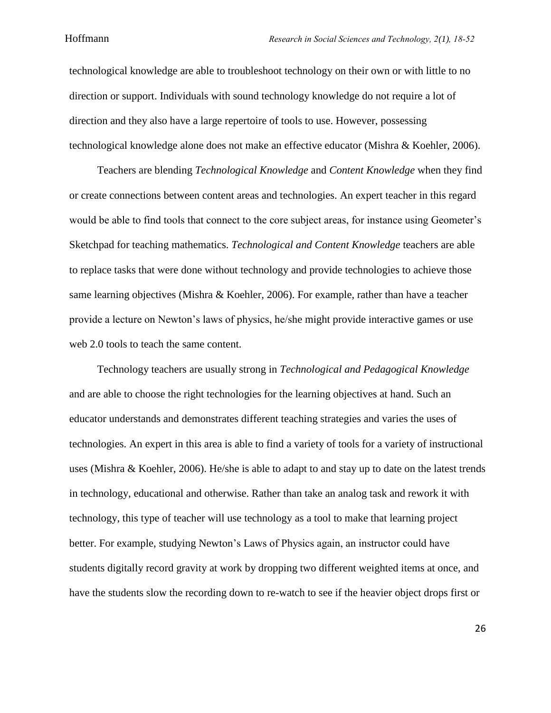technological knowledge are able to troubleshoot technology on their own or with little to no direction or support. Individuals with sound technology knowledge do not require a lot of direction and they also have a large repertoire of tools to use. However, possessing technological knowledge alone does not make an effective educator (Mishra & Koehler, 2006).

Teachers are blending *Technological Knowledge* and *Content Knowledge* when they find or create connections between content areas and technologies. An expert teacher in this regard would be able to find tools that connect to the core subject areas, for instance using Geometer's Sketchpad for teaching mathematics. *Technological and Content Knowledge* teachers are able to replace tasks that were done without technology and provide technologies to achieve those same learning objectives (Mishra & Koehler, 2006). For example, rather than have a teacher provide a lecture on Newton's laws of physics, he/she might provide interactive games or use web 2.0 tools to teach the same content.

Technology teachers are usually strong in *Technological and Pedagogical Knowledge* and are able to choose the right technologies for the learning objectives at hand. Such an educator understands and demonstrates different teaching strategies and varies the uses of technologies. An expert in this area is able to find a variety of tools for a variety of instructional uses (Mishra & Koehler, 2006). He/she is able to adapt to and stay up to date on the latest trends in technology, educational and otherwise. Rather than take an analog task and rework it with technology, this type of teacher will use technology as a tool to make that learning project better. For example, studying Newton's Laws of Physics again, an instructor could have students digitally record gravity at work by dropping two different weighted items at once, and have the students slow the recording down to re-watch to see if the heavier object drops first or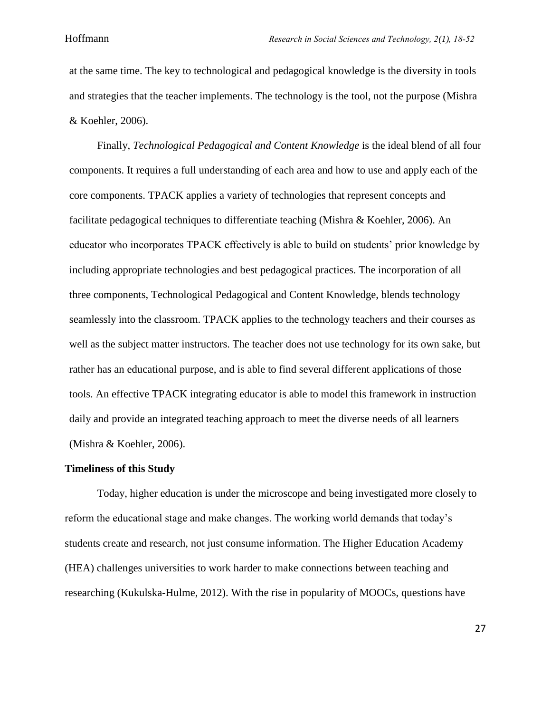at the same time. The key to technological and pedagogical knowledge is the diversity in tools and strategies that the teacher implements. The technology is the tool, not the purpose (Mishra & Koehler, 2006).

Finally, *Technological Pedagogical and Content Knowledge* is the ideal blend of all four components. It requires a full understanding of each area and how to use and apply each of the core components. TPACK applies a variety of technologies that represent concepts and facilitate pedagogical techniques to differentiate teaching (Mishra & Koehler, 2006). An educator who incorporates TPACK effectively is able to build on students' prior knowledge by including appropriate technologies and best pedagogical practices. The incorporation of all three components, Technological Pedagogical and Content Knowledge, blends technology seamlessly into the classroom. TPACK applies to the technology teachers and their courses as well as the subject matter instructors. The teacher does not use technology for its own sake, but rather has an educational purpose, and is able to find several different applications of those tools. An effective TPACK integrating educator is able to model this framework in instruction daily and provide an integrated teaching approach to meet the diverse needs of all learners (Mishra & Koehler, 2006).

#### **Timeliness of this Study**

Today, higher education is under the microscope and being investigated more closely to reform the educational stage and make changes. The working world demands that today's students create and research, not just consume information. The Higher Education Academy (HEA) challenges universities to work harder to make connections between teaching and researching (Kukulska-Hulme, 2012). With the rise in popularity of MOOCs, questions have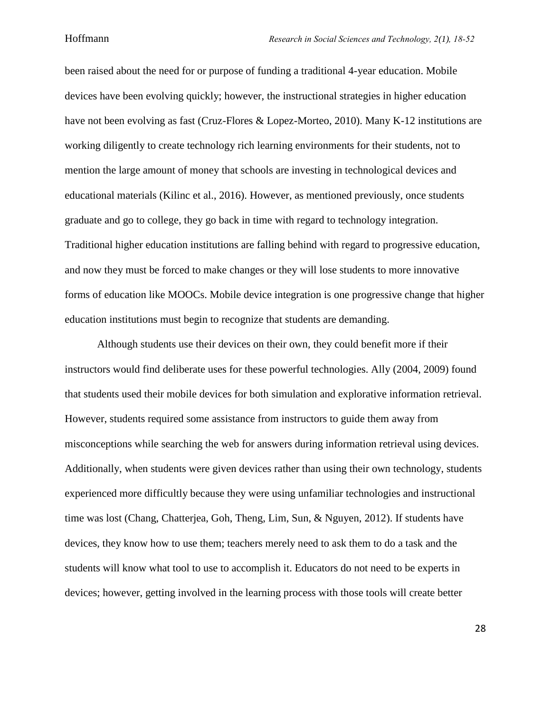been raised about the need for or purpose of funding a traditional 4-year education. Mobile devices have been evolving quickly; however, the instructional strategies in higher education have not been evolving as fast (Cruz-Flores & Lopez-Morteo, 2010). Many K-12 institutions are working diligently to create technology rich learning environments for their students, not to mention the large amount of money that schools are investing in technological devices and educational materials (Kilinc et al., 2016). However, as mentioned previously, once students graduate and go to college, they go back in time with regard to technology integration. Traditional higher education institutions are falling behind with regard to progressive education, and now they must be forced to make changes or they will lose students to more innovative forms of education like MOOCs. Mobile device integration is one progressive change that higher education institutions must begin to recognize that students are demanding.

Although students use their devices on their own, they could benefit more if their instructors would find deliberate uses for these powerful technologies. Ally (2004, 2009) found that students used their mobile devices for both simulation and explorative information retrieval. However, students required some assistance from instructors to guide them away from misconceptions while searching the web for answers during information retrieval using devices. Additionally, when students were given devices rather than using their own technology, students experienced more difficultly because they were using unfamiliar technologies and instructional time was lost (Chang, Chatterjea, Goh, Theng, Lim, Sun, & Nguyen, 2012). If students have devices, they know how to use them; teachers merely need to ask them to do a task and the students will know what tool to use to accomplish it. Educators do not need to be experts in devices; however, getting involved in the learning process with those tools will create better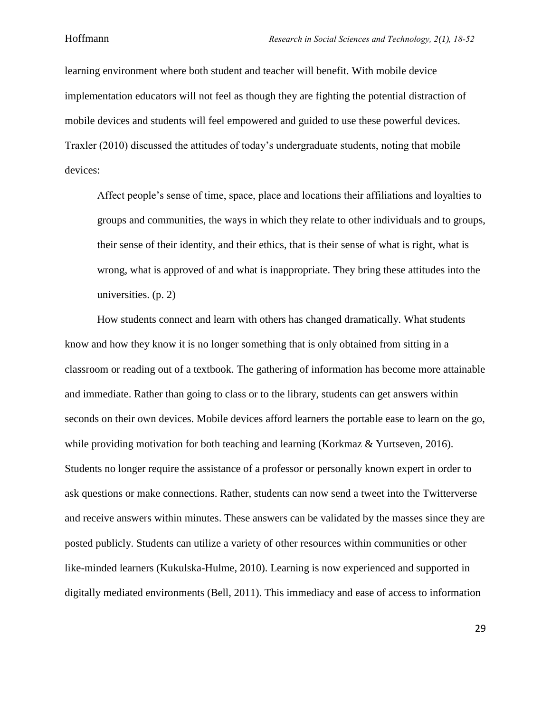learning environment where both student and teacher will benefit. With mobile device implementation educators will not feel as though they are fighting the potential distraction of mobile devices and students will feel empowered and guided to use these powerful devices. Traxler (2010) discussed the attitudes of today's undergraduate students, noting that mobile devices:

Affect people's sense of time, space, place and locations their affiliations and loyalties to groups and communities, the ways in which they relate to other individuals and to groups, their sense of their identity, and their ethics, that is their sense of what is right, what is wrong, what is approved of and what is inappropriate. They bring these attitudes into the universities. (p. 2)

How students connect and learn with others has changed dramatically. What students know and how they know it is no longer something that is only obtained from sitting in a classroom or reading out of a textbook. The gathering of information has become more attainable and immediate. Rather than going to class or to the library, students can get answers within seconds on their own devices. Mobile devices afford learners the portable ease to learn on the go, while providing motivation for both teaching and learning (Korkmaz & Yurtseven, 2016). Students no longer require the assistance of a professor or personally known expert in order to ask questions or make connections. Rather, students can now send a tweet into the Twitterverse and receive answers within minutes. These answers can be validated by the masses since they are posted publicly. Students can utilize a variety of other resources within communities or other like-minded learners (Kukulska-Hulme, 2010). Learning is now experienced and supported in digitally mediated environments (Bell, 2011). This immediacy and ease of access to information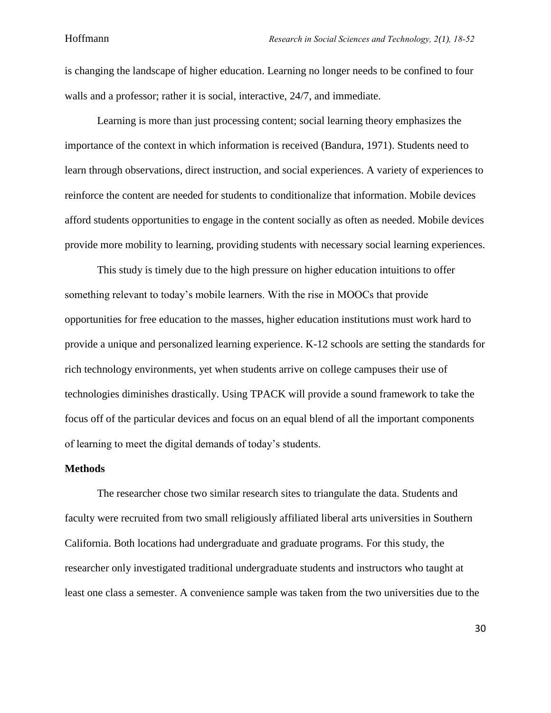is changing the landscape of higher education. Learning no longer needs to be confined to four walls and a professor; rather it is social, interactive, 24/7, and immediate.

Learning is more than just processing content; social learning theory emphasizes the importance of the context in which information is received (Bandura, 1971). Students need to learn through observations, direct instruction, and social experiences. A variety of experiences to reinforce the content are needed for students to conditionalize that information. Mobile devices afford students opportunities to engage in the content socially as often as needed. Mobile devices provide more mobility to learning, providing students with necessary social learning experiences.

This study is timely due to the high pressure on higher education intuitions to offer something relevant to today's mobile learners. With the rise in MOOCs that provide opportunities for free education to the masses, higher education institutions must work hard to provide a unique and personalized learning experience. K-12 schools are setting the standards for rich technology environments, yet when students arrive on college campuses their use of technologies diminishes drastically. Using TPACK will provide a sound framework to take the focus off of the particular devices and focus on an equal blend of all the important components of learning to meet the digital demands of today's students.

#### **Methods**

The researcher chose two similar research sites to triangulate the data. Students and faculty were recruited from two small religiously affiliated liberal arts universities in Southern California. Both locations had undergraduate and graduate programs. For this study, the researcher only investigated traditional undergraduate students and instructors who taught at least one class a semester. A convenience sample was taken from the two universities due to the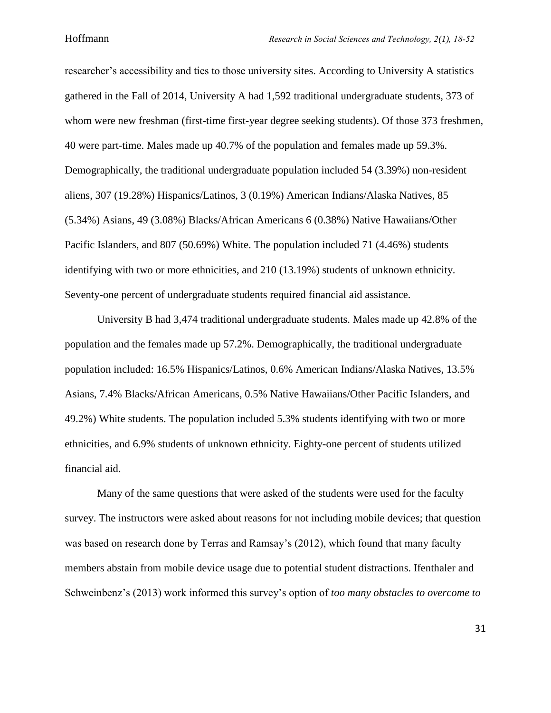researcher's accessibility and ties to those university sites. According to University A statistics gathered in the Fall of 2014, University A had 1,592 traditional undergraduate students, 373 of whom were new freshman (first-time first-year degree seeking students). Of those 373 freshmen, 40 were part-time. Males made up 40.7% of the population and females made up 59.3%. Demographically, the traditional undergraduate population included 54 (3.39%) non-resident aliens, 307 (19.28%) Hispanics/Latinos, 3 (0.19%) American Indians/Alaska Natives, 85 (5.34%) Asians, 49 (3.08%) Blacks/African Americans 6 (0.38%) Native Hawaiians/Other Pacific Islanders, and 807 (50.69%) White. The population included 71 (4.46%) students identifying with two or more ethnicities, and 210 (13.19%) students of unknown ethnicity. Seventy-one percent of undergraduate students required financial aid assistance.

University B had 3,474 traditional undergraduate students. Males made up 42.8% of the population and the females made up 57.2%. Demographically, the traditional undergraduate population included: 16.5% Hispanics/Latinos, 0.6% American Indians/Alaska Natives, 13.5% Asians, 7.4% Blacks/African Americans, 0.5% Native Hawaiians/Other Pacific Islanders, and 49.2%) White students. The population included 5.3% students identifying with two or more ethnicities, and 6.9% students of unknown ethnicity. Eighty-one percent of students utilized financial aid.

Many of the same questions that were asked of the students were used for the faculty survey. The instructors were asked about reasons for not including mobile devices; that question was based on research done by Terras and Ramsay's (2012), which found that many faculty members abstain from mobile device usage due to potential student distractions. Ifenthaler and Schweinbenz's (2013) work informed this survey's option of *too many obstacles to overcome to*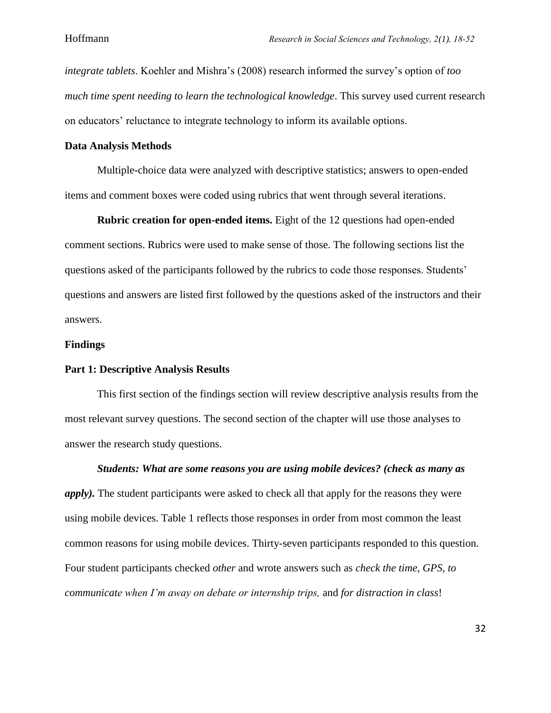*integrate tablets*. Koehler and Mishra's (2008) research informed the survey's option of *too much time spent needing to learn the technological knowledge*. This survey used current research on educators' reluctance to integrate technology to inform its available options.

#### **Data Analysis Methods**

Multiple-choice data were analyzed with descriptive statistics; answers to open-ended items and comment boxes were coded using rubrics that went through several iterations.

**Rubric creation for open-ended items.** Eight of the 12 questions had open-ended comment sections. Rubrics were used to make sense of those. The following sections list the questions asked of the participants followed by the rubrics to code those responses. Students' questions and answers are listed first followed by the questions asked of the instructors and their answers.

#### **Findings**

#### **Part 1: Descriptive Analysis Results**

This first section of the findings section will review descriptive analysis results from the most relevant survey questions. The second section of the chapter will use those analyses to answer the research study questions.

*Students: What are some reasons you are using mobile devices? (check as many as apply).* The student participants were asked to check all that apply for the reasons they were using mobile devices. Table 1 reflects those responses in order from most common the least common reasons for using mobile devices. Thirty-seven participants responded to this question. Four student participants checked *other* and wrote answers such as *check the time, GPS, to communicate when I'm away on debate or internship trips,* and *for distraction in class*!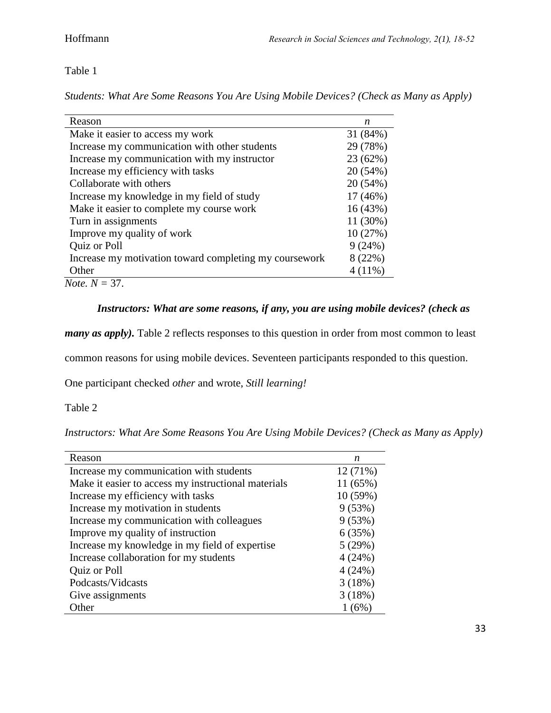Table 1

*Students: What Are Some Reasons You Are Using Mobile Devices? (Check as Many as Apply)*

| Make it easier to access my work<br>Increase my communication with other students<br>Increase my communication with my instructor<br>Increase my efficiency with tasks<br>Collaborate with others | 31 (84%)<br>29 (78%)<br>23 (62%)<br>20 (54%) |
|---------------------------------------------------------------------------------------------------------------------------------------------------------------------------------------------------|----------------------------------------------|
|                                                                                                                                                                                                   |                                              |
|                                                                                                                                                                                                   |                                              |
|                                                                                                                                                                                                   |                                              |
|                                                                                                                                                                                                   |                                              |
|                                                                                                                                                                                                   | 20 (54%)                                     |
| Increase my knowledge in my field of study                                                                                                                                                        | $17(46\%)$                                   |
| Make it easier to complete my course work                                                                                                                                                         | 16(43%)                                      |
| Turn in assignments                                                                                                                                                                               | 11 (30%)                                     |
| Improve my quality of work                                                                                                                                                                        | 10(27%)                                      |
| Quiz or Poll                                                                                                                                                                                      | 9(24%)                                       |
| Increase my motivation toward completing my coursework                                                                                                                                            | 8 (22%)                                      |
| Other                                                                                                                                                                                             | $4(11\%)$                                    |

# *Instructors: What are some reasons, if any, you are using mobile devices? (check as*

*many as apply*). Table 2 reflects responses to this question in order from most common to least

common reasons for using mobile devices. Seventeen participants responded to this question.

One participant checked *other* and wrote, *Still learning!* 

Table 2

*Instructors: What Are Some Reasons You Are Using Mobile Devices? (Check as Many as Apply)*

| Reason                                              | n       |
|-----------------------------------------------------|---------|
| Increase my communication with students             | 12(71%) |
| Make it easier to access my instructional materials | 11(65%) |
| Increase my efficiency with tasks                   | 10(59%) |
| Increase my motivation in students                  | 9(53%)  |
| Increase my communication with colleagues           | 9(53%)  |
| Improve my quality of instruction                   | 6(35%)  |
| Increase my knowledge in my field of expertise      | 5(29%)  |
| Increase collaboration for my students              | 4(24%)  |
| Quiz or Poll                                        | 4(24%)  |
| Podcasts/Vidcasts                                   | 3(18%)  |
| Give assignments                                    | 3(18%)  |
| Other                                               | $(6\%)$ |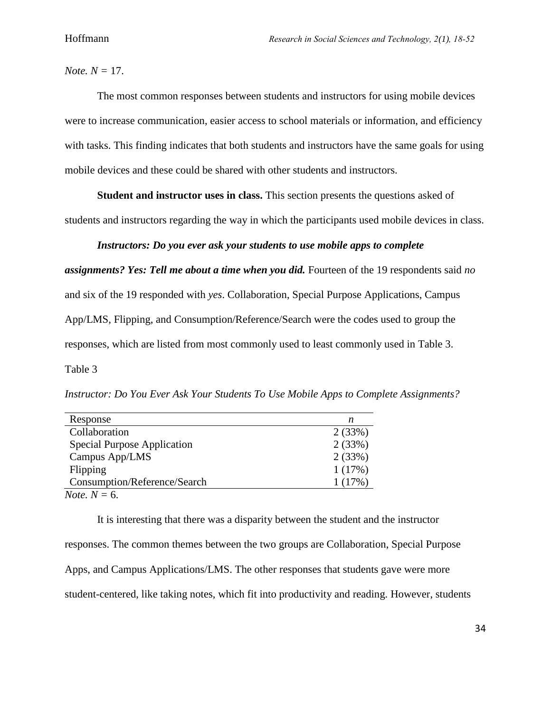*Note. N =* 17.

The most common responses between students and instructors for using mobile devices were to increase communication, easier access to school materials or information, and efficiency with tasks. This finding indicates that both students and instructors have the same goals for using mobile devices and these could be shared with other students and instructors.

**Student and instructor uses in class.** This section presents the questions asked of students and instructors regarding the way in which the participants used mobile devices in class.

### *Instructors: Do you ever ask your students to use mobile apps to complete*

*assignments? Yes: Tell me about a time when you did.* Fourteen of the 19 respondents said *no* and six of the 19 responded with *yes*. Collaboration, Special Purpose Applications, Campus App/LMS, Flipping, and Consumption/Reference/Search were the codes used to group the responses, which are listed from most commonly used to least commonly used in Table 3.

Table 3

*Instructor: Do You Ever Ask Your Students To Use Mobile Apps to Complete Assignments?*

| Response                           | n      |
|------------------------------------|--------|
| Collaboration                      | 2(33%) |
| <b>Special Purpose Application</b> | 2(33%) |
| Campus App/LMS                     | 2(33%) |
| Flipping                           | 1(17%) |
| Consumption/Reference/Search       | 1(17%) |
| <i>Note.</i> $N = 6$ .             |        |

It is interesting that there was a disparity between the student and the instructor responses. The common themes between the two groups are Collaboration, Special Purpose Apps, and Campus Applications/LMS. The other responses that students gave were more student-centered, like taking notes, which fit into productivity and reading. However, students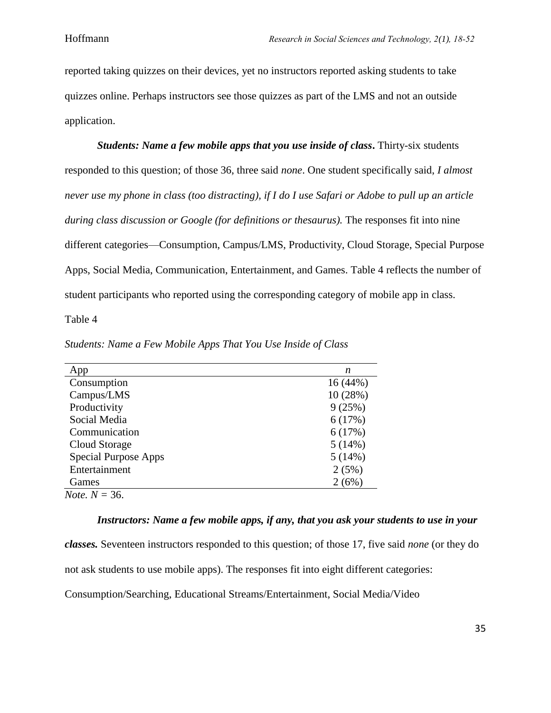reported taking quizzes on their devices, yet no instructors reported asking students to take quizzes online. Perhaps instructors see those quizzes as part of the LMS and not an outside application.

*Students: Name a few mobile apps that you use inside of class***.** Thirty-six students responded to this question; of those 36, three said *none*. One student specifically said, *I almost never use my phone in class (too distracting), if I do I use Safari or Adobe to pull up an article during class discussion or Google (for definitions or thesaurus).* The responses fit into nine different categories—Consumption, Campus/LMS, Productivity, Cloud Storage, Special Purpose Apps, Social Media, Communication, Entertainment, and Games. Table 4 reflects the number of student participants who reported using the corresponding category of mobile app in class. Table 4

| App                         | n        |
|-----------------------------|----------|
| Consumption                 | 16(44%)  |
| Campus/LMS                  | 10 (28%) |
| Productivity                | 9(25%)   |
| Social Media                | 6(17%)   |
| Communication               | 6(17%)   |
| Cloud Storage               | 5(14%)   |
| <b>Special Purpose Apps</b> | 5(14%)   |
| Entertainment               | 2(5%)    |
| Games                       | 2(6%)    |
| <i>Note.</i> $N = 36$ .     |          |

*Students: Name a Few Mobile Apps That You Use Inside of Class*

# *Instructors: Name a few mobile apps, if any, that you ask your students to use in your*

*classes.* Seventeen instructors responded to this question; of those 17, five said *none* (or they do

not ask students to use mobile apps). The responses fit into eight different categories:

Consumption/Searching, Educational Streams/Entertainment, Social Media/Video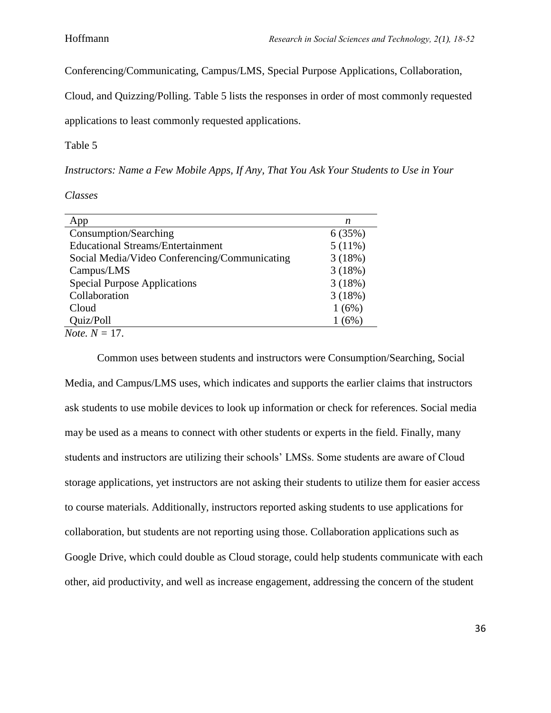Conferencing/Communicating, Campus/LMS, Special Purpose Applications, Collaboration,

Cloud, and Quizzing/Polling. Table 5 lists the responses in order of most commonly requested

applications to least commonly requested applications.

Table 5

*Instructors: Name a Few Mobile Apps, If Any, That You Ask Your Students to Use in Your* 

*Classes*

| App                                           | n      |
|-----------------------------------------------|--------|
| Consumption/Searching                         | 6(35%) |
| <b>Educational Streams/Entertainment</b>      | 5(11%) |
| Social Media/Video Conferencing/Communicating | 3(18%) |
| Campus/LMS                                    | 3(18%) |
| <b>Special Purpose Applications</b>           | 3(18%) |
| Collaboration                                 | 3(18%) |
| Cloud                                         | 1(6%)  |
| Quiz/Poll                                     | (6%)   |
| <i>Note</i> . $N = 17$ .                      |        |

Common uses between students and instructors were Consumption/Searching, Social Media, and Campus/LMS uses, which indicates and supports the earlier claims that instructors ask students to use mobile devices to look up information or check for references. Social media may be used as a means to connect with other students or experts in the field. Finally, many students and instructors are utilizing their schools' LMSs. Some students are aware of Cloud storage applications, yet instructors are not asking their students to utilize them for easier access to course materials. Additionally, instructors reported asking students to use applications for collaboration, but students are not reporting using those. Collaboration applications such as Google Drive, which could double as Cloud storage, could help students communicate with each other, aid productivity, and well as increase engagement, addressing the concern of the student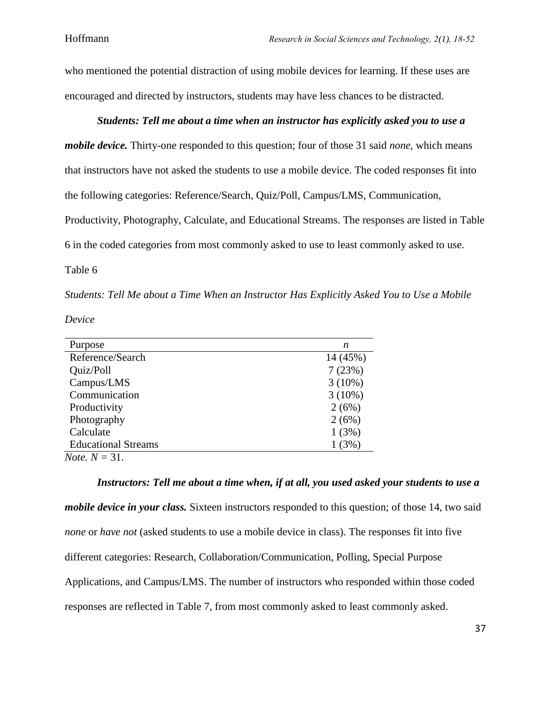who mentioned the potential distraction of using mobile devices for learning. If these uses are encouraged and directed by instructors, students may have less chances to be distracted.

# *Students: Tell me about a time when an instructor has explicitly asked you to use a*

*mobile device.* Thirty-one responded to this question; four of those 31 said *none,* which means that instructors have not asked the students to use a mobile device. The coded responses fit into the following categories: Reference/Search, Quiz/Poll, Campus/LMS, Communication, Productivity, Photography, Calculate, and Educational Streams. The responses are listed in Table 6 in the coded categories from most commonly asked to use to least commonly asked to use.

Table 6

*Students: Tell Me about a Time When an Instructor Has Explicitly Asked You to Use a Mobile* 

*Device*

| Purpose                    | n         |
|----------------------------|-----------|
| Reference/Search           | 14 (45%)  |
| Quiz/Poll                  | 7(23%)    |
| Campus/LMS                 | $3(10\%)$ |
| Communication              | $3(10\%)$ |
| Productivity               | 2(6%)     |
| Photography                | 2(6%)     |
| Calculate                  | 1(3%)     |
| <b>Educational Streams</b> | 1(3%)     |
| <i>Note.</i> $N = 31$ .    |           |

*Instructors: Tell me about a time when, if at all, you used asked your students to use a mobile device in your class.* Sixteen instructors responded to this question; of those 14, two said *none* or *have not* (asked students to use a mobile device in class). The responses fit into five different categories: Research, Collaboration/Communication, Polling, Special Purpose Applications, and Campus/LMS. The number of instructors who responded within those coded responses are reflected in Table 7, from most commonly asked to least commonly asked.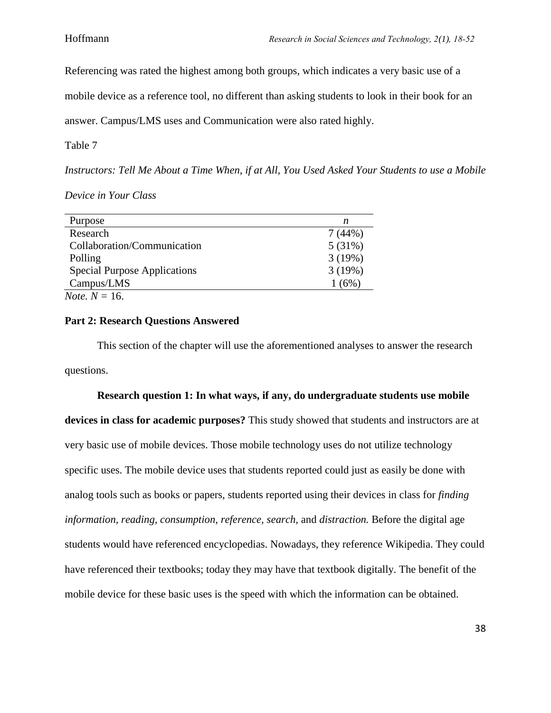Referencing was rated the highest among both groups, which indicates a very basic use of a

mobile device as a reference tool, no different than asking students to look in their book for an

answer. Campus/LMS uses and Communication were also rated highly.

Table 7

*Instructors: Tell Me About a Time When, if at All, You Used Asked Your Students to use a Mobile* 

*Device in Your Class*

| Purpose                             | n      |
|-------------------------------------|--------|
| Research                            | 7(44%) |
| Collaboration/Communication         | 5(31%) |
| Polling                             | 3(19%) |
| <b>Special Purpose Applications</b> | 3(19%) |
| Campus/LMS                          | 1(6%)  |
| <i>Note.</i> $N = 16$ .             |        |

### **Part 2: Research Questions Answered**

This section of the chapter will use the aforementioned analyses to answer the research questions.

#### **Research question 1: In what ways, if any, do undergraduate students use mobile**

**devices in class for academic purposes?** This study showed that students and instructors are at very basic use of mobile devices. Those mobile technology uses do not utilize technology specific uses. The mobile device uses that students reported could just as easily be done with analog tools such as books or papers, students reported using their devices in class for *finding information, reading, consumption, reference, search,* and *distraction.* Before the digital age students would have referenced encyclopedias. Nowadays, they reference Wikipedia. They could have referenced their textbooks; today they may have that textbook digitally. The benefit of the mobile device for these basic uses is the speed with which the information can be obtained.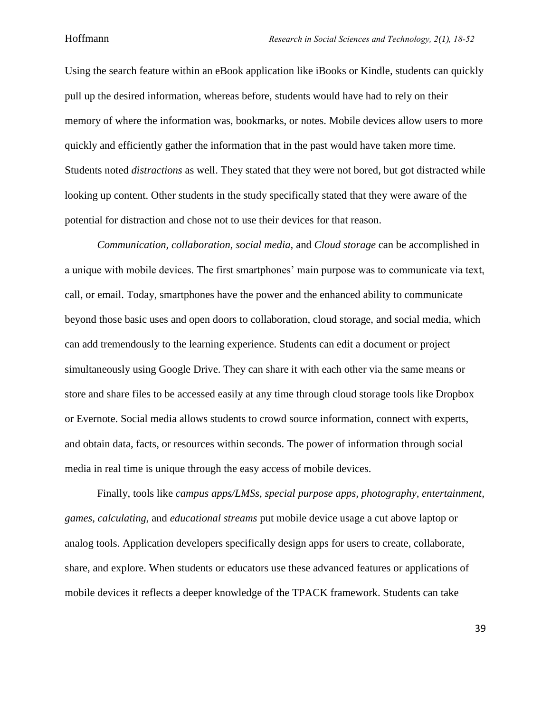Using the search feature within an eBook application like iBooks or Kindle, students can quickly pull up the desired information, whereas before, students would have had to rely on their memory of where the information was, bookmarks, or notes. Mobile devices allow users to more quickly and efficiently gather the information that in the past would have taken more time. Students noted *distractions* as well. They stated that they were not bored, but got distracted while looking up content. Other students in the study specifically stated that they were aware of the potential for distraction and chose not to use their devices for that reason.

*Communication, collaboration, social media,* and *Cloud storage* can be accomplished in a unique with mobile devices. The first smartphones' main purpose was to communicate via text, call, or email. Today, smartphones have the power and the enhanced ability to communicate beyond those basic uses and open doors to collaboration, cloud storage, and social media, which can add tremendously to the learning experience. Students can edit a document or project simultaneously using Google Drive. They can share it with each other via the same means or store and share files to be accessed easily at any time through cloud storage tools like Dropbox or Evernote. Social media allows students to crowd source information, connect with experts, and obtain data, facts, or resources within seconds. The power of information through social media in real time is unique through the easy access of mobile devices.

Finally, tools like *campus apps/LMSs, special purpose apps, photography, entertainment, games, calculating,* and *educational streams* put mobile device usage a cut above laptop or analog tools. Application developers specifically design apps for users to create, collaborate, share, and explore. When students or educators use these advanced features or applications of mobile devices it reflects a deeper knowledge of the TPACK framework. Students can take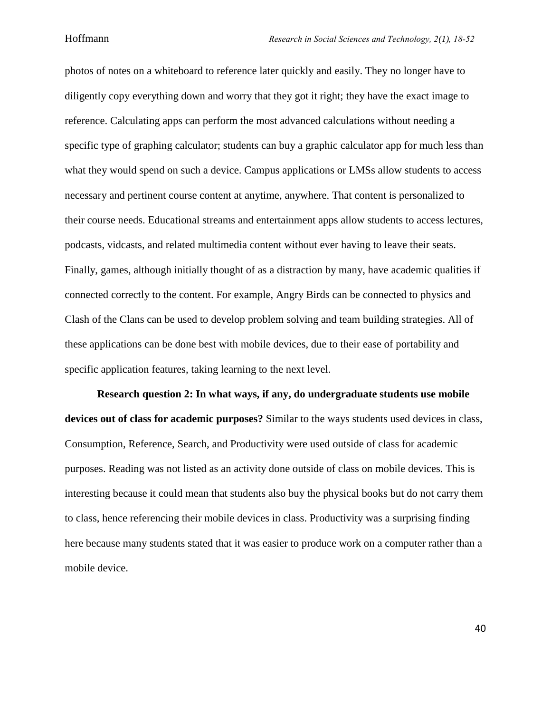photos of notes on a whiteboard to reference later quickly and easily. They no longer have to diligently copy everything down and worry that they got it right; they have the exact image to reference. Calculating apps can perform the most advanced calculations without needing a specific type of graphing calculator; students can buy a graphic calculator app for much less than what they would spend on such a device. Campus applications or LMSs allow students to access necessary and pertinent course content at anytime, anywhere. That content is personalized to their course needs. Educational streams and entertainment apps allow students to access lectures, podcasts, vidcasts, and related multimedia content without ever having to leave their seats. Finally, games, although initially thought of as a distraction by many, have academic qualities if connected correctly to the content. For example, Angry Birds can be connected to physics and Clash of the Clans can be used to develop problem solving and team building strategies. All of these applications can be done best with mobile devices, due to their ease of portability and specific application features, taking learning to the next level.

**Research question 2: In what ways, if any, do undergraduate students use mobile devices out of class for academic purposes?** Similar to the ways students used devices in class, Consumption, Reference, Search, and Productivity were used outside of class for academic purposes. Reading was not listed as an activity done outside of class on mobile devices. This is interesting because it could mean that students also buy the physical books but do not carry them to class, hence referencing their mobile devices in class. Productivity was a surprising finding here because many students stated that it was easier to produce work on a computer rather than a mobile device.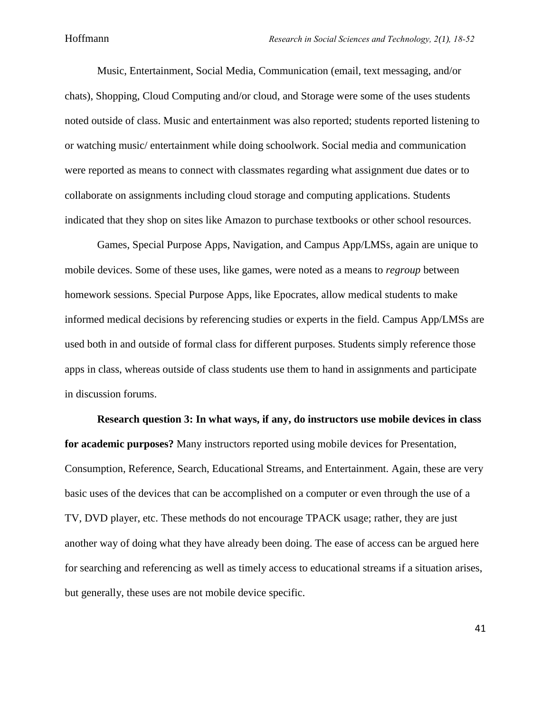Music, Entertainment, Social Media, Communication (email, text messaging, and/or chats), Shopping, Cloud Computing and/or cloud, and Storage were some of the uses students noted outside of class. Music and entertainment was also reported; students reported listening to or watching music/ entertainment while doing schoolwork. Social media and communication were reported as means to connect with classmates regarding what assignment due dates or to collaborate on assignments including cloud storage and computing applications. Students indicated that they shop on sites like Amazon to purchase textbooks or other school resources.

Games, Special Purpose Apps, Navigation, and Campus App/LMSs, again are unique to mobile devices. Some of these uses, like games, were noted as a means to *regroup* between homework sessions. Special Purpose Apps, like Epocrates, allow medical students to make informed medical decisions by referencing studies or experts in the field. Campus App/LMSs are used both in and outside of formal class for different purposes. Students simply reference those apps in class, whereas outside of class students use them to hand in assignments and participate in discussion forums.

**Research question 3: In what ways, if any, do instructors use mobile devices in class for academic purposes?** Many instructors reported using mobile devices for Presentation, Consumption, Reference, Search, Educational Streams, and Entertainment. Again, these are very basic uses of the devices that can be accomplished on a computer or even through the use of a TV, DVD player, etc. These methods do not encourage TPACK usage; rather, they are just another way of doing what they have already been doing. The ease of access can be argued here for searching and referencing as well as timely access to educational streams if a situation arises, but generally, these uses are not mobile device specific.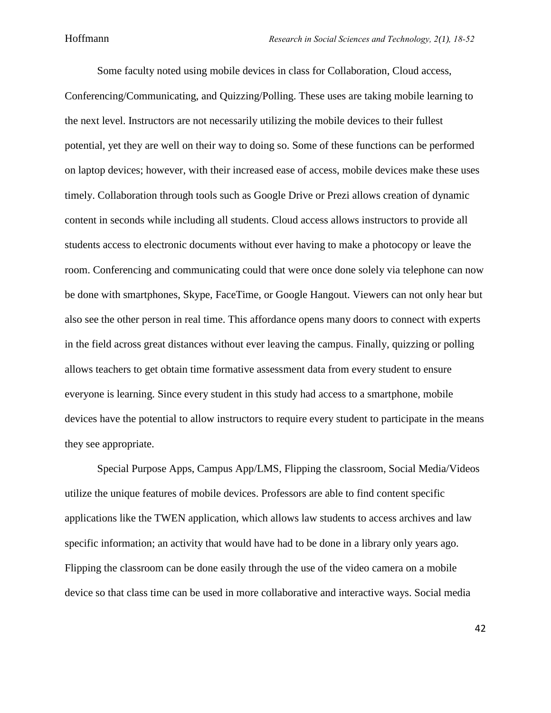Some faculty noted using mobile devices in class for Collaboration, Cloud access, Conferencing/Communicating, and Quizzing/Polling. These uses are taking mobile learning to the next level. Instructors are not necessarily utilizing the mobile devices to their fullest potential, yet they are well on their way to doing so. Some of these functions can be performed on laptop devices; however, with their increased ease of access, mobile devices make these uses timely. Collaboration through tools such as Google Drive or Prezi allows creation of dynamic content in seconds while including all students. Cloud access allows instructors to provide all students access to electronic documents without ever having to make a photocopy or leave the room. Conferencing and communicating could that were once done solely via telephone can now be done with smartphones, Skype, FaceTime, or Google Hangout. Viewers can not only hear but also see the other person in real time. This affordance opens many doors to connect with experts in the field across great distances without ever leaving the campus. Finally, quizzing or polling allows teachers to get obtain time formative assessment data from every student to ensure everyone is learning. Since every student in this study had access to a smartphone, mobile devices have the potential to allow instructors to require every student to participate in the means they see appropriate.

Special Purpose Apps, Campus App/LMS, Flipping the classroom, Social Media/Videos utilize the unique features of mobile devices. Professors are able to find content specific applications like the TWEN application, which allows law students to access archives and law specific information; an activity that would have had to be done in a library only years ago. Flipping the classroom can be done easily through the use of the video camera on a mobile device so that class time can be used in more collaborative and interactive ways. Social media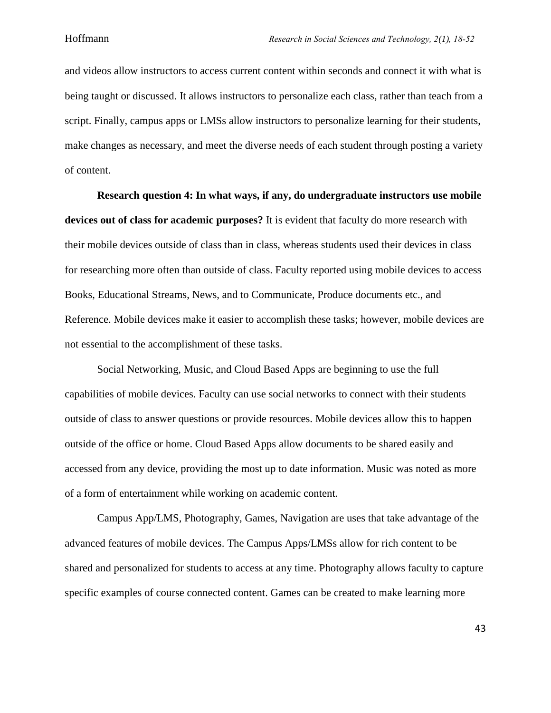and videos allow instructors to access current content within seconds and connect it with what is being taught or discussed. It allows instructors to personalize each class, rather than teach from a script. Finally, campus apps or LMSs allow instructors to personalize learning for their students, make changes as necessary, and meet the diverse needs of each student through posting a variety of content.

**Research question 4: In what ways, if any, do undergraduate instructors use mobile devices out of class for academic purposes?** It is evident that faculty do more research with their mobile devices outside of class than in class, whereas students used their devices in class for researching more often than outside of class. Faculty reported using mobile devices to access Books, Educational Streams, News, and to Communicate, Produce documents etc., and Reference. Mobile devices make it easier to accomplish these tasks; however, mobile devices are not essential to the accomplishment of these tasks.

Social Networking, Music, and Cloud Based Apps are beginning to use the full capabilities of mobile devices. Faculty can use social networks to connect with their students outside of class to answer questions or provide resources. Mobile devices allow this to happen outside of the office or home. Cloud Based Apps allow documents to be shared easily and accessed from any device, providing the most up to date information. Music was noted as more of a form of entertainment while working on academic content.

Campus App/LMS, Photography, Games, Navigation are uses that take advantage of the advanced features of mobile devices. The Campus Apps/LMSs allow for rich content to be shared and personalized for students to access at any time. Photography allows faculty to capture specific examples of course connected content. Games can be created to make learning more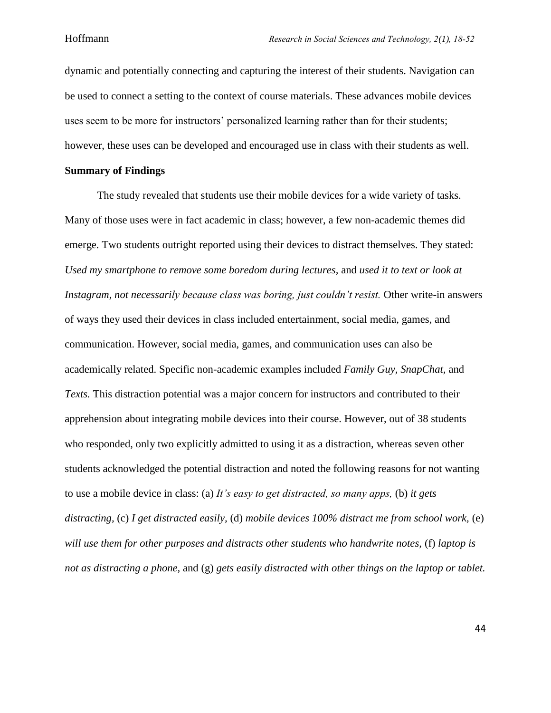dynamic and potentially connecting and capturing the interest of their students. Navigation can be used to connect a setting to the context of course materials. These advances mobile devices uses seem to be more for instructors' personalized learning rather than for their students; however, these uses can be developed and encouraged use in class with their students as well.

## **Summary of Findings**

The study revealed that students use their mobile devices for a wide variety of tasks. Many of those uses were in fact academic in class; however, a few non-academic themes did emerge. Two students outright reported using their devices to distract themselves. They stated: *Used my smartphone to remove some boredom during lectures,* and *used it to text or look at Instagram, not necessarily because class was boring, just couldn't resist.* Other write-in answers of ways they used their devices in class included entertainment, social media, games, and communication. However, social media, games, and communication uses can also be academically related. Specific non-academic examples included *Family Guy, SnapChat,* and *Texts.* This distraction potential was a major concern for instructors and contributed to their apprehension about integrating mobile devices into their course. However, out of 38 students who responded, only two explicitly admitted to using it as a distraction, whereas seven other students acknowledged the potential distraction and noted the following reasons for not wanting to use a mobile device in class: (a) *It's easy to get distracted, so many apps,* (b) *it gets distracting,* (c) *I get distracted easily,* (d) *mobile devices 100% distract me from school work,* (e) *will use them for other purposes and distracts other students who handwrite notes,* (f) *laptop is not as distracting a phone,* and (g) *gets easily distracted with other things on the laptop or tablet.*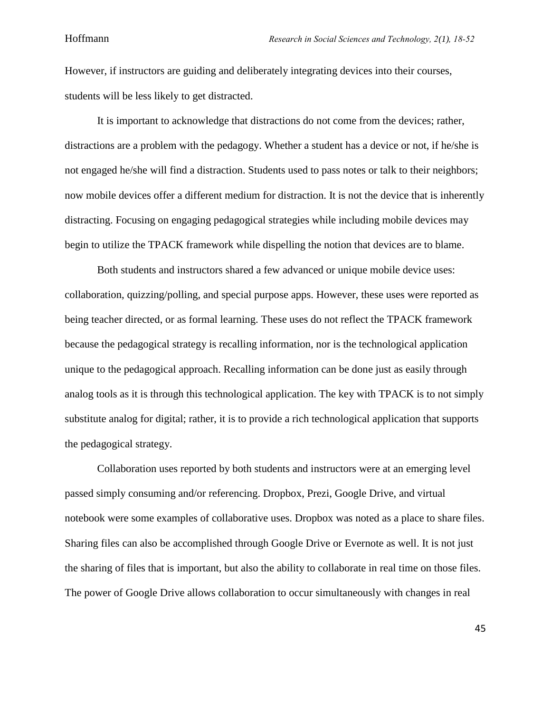However, if instructors are guiding and deliberately integrating devices into their courses, students will be less likely to get distracted.

It is important to acknowledge that distractions do not come from the devices; rather, distractions are a problem with the pedagogy. Whether a student has a device or not, if he/she is not engaged he/she will find a distraction. Students used to pass notes or talk to their neighbors; now mobile devices offer a different medium for distraction. It is not the device that is inherently distracting. Focusing on engaging pedagogical strategies while including mobile devices may begin to utilize the TPACK framework while dispelling the notion that devices are to blame.

Both students and instructors shared a few advanced or unique mobile device uses: collaboration, quizzing/polling, and special purpose apps. However, these uses were reported as being teacher directed, or as formal learning. These uses do not reflect the TPACK framework because the pedagogical strategy is recalling information, nor is the technological application unique to the pedagogical approach. Recalling information can be done just as easily through analog tools as it is through this technological application. The key with TPACK is to not simply substitute analog for digital; rather, it is to provide a rich technological application that supports the pedagogical strategy.

Collaboration uses reported by both students and instructors were at an emerging level passed simply consuming and/or referencing. Dropbox, Prezi, Google Drive, and virtual notebook were some examples of collaborative uses. Dropbox was noted as a place to share files. Sharing files can also be accomplished through Google Drive or Evernote as well. It is not just the sharing of files that is important, but also the ability to collaborate in real time on those files. The power of Google Drive allows collaboration to occur simultaneously with changes in real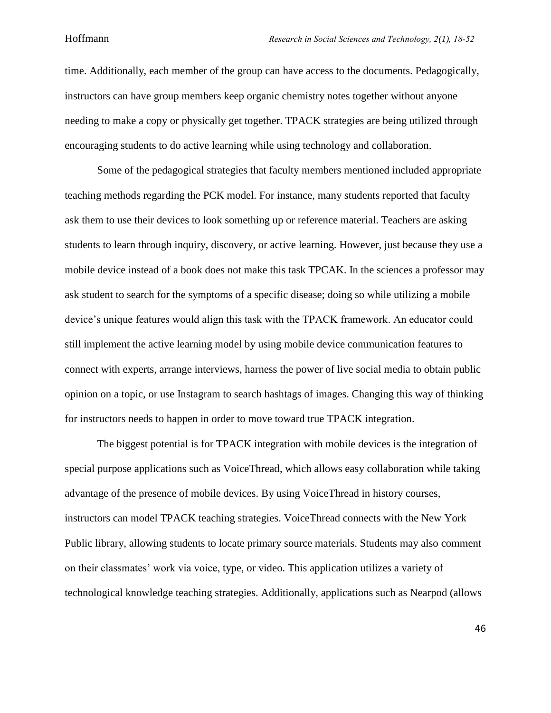time. Additionally, each member of the group can have access to the documents. Pedagogically, instructors can have group members keep organic chemistry notes together without anyone needing to make a copy or physically get together. TPACK strategies are being utilized through encouraging students to do active learning while using technology and collaboration.

Some of the pedagogical strategies that faculty members mentioned included appropriate teaching methods regarding the PCK model. For instance, many students reported that faculty ask them to use their devices to look something up or reference material. Teachers are asking students to learn through inquiry, discovery, or active learning. However, just because they use a mobile device instead of a book does not make this task TPCAK. In the sciences a professor may ask student to search for the symptoms of a specific disease; doing so while utilizing a mobile device's unique features would align this task with the TPACK framework. An educator could still implement the active learning model by using mobile device communication features to connect with experts, arrange interviews, harness the power of live social media to obtain public opinion on a topic, or use Instagram to search hashtags of images. Changing this way of thinking for instructors needs to happen in order to move toward true TPACK integration.

The biggest potential is for TPACK integration with mobile devices is the integration of special purpose applications such as VoiceThread, which allows easy collaboration while taking advantage of the presence of mobile devices. By using VoiceThread in history courses, instructors can model TPACK teaching strategies. VoiceThread connects with the New York Public library, allowing students to locate primary source materials. Students may also comment on their classmates' work via voice, type, or video. This application utilizes a variety of technological knowledge teaching strategies. Additionally, applications such as Nearpod (allows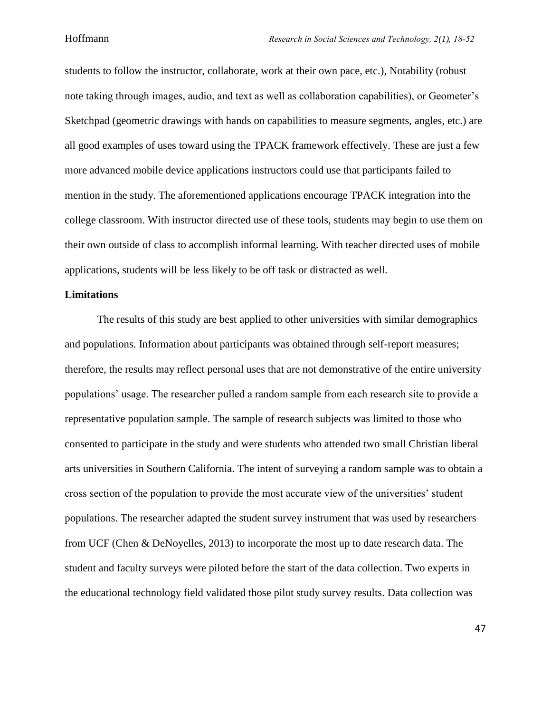students to follow the instructor, collaborate, work at their own pace, etc.), Notability (robust note taking through images, audio, and text as well as collaboration capabilities), or Geometer's Sketchpad (geometric drawings with hands on capabilities to measure segments, angles, etc.) are all good examples of uses toward using the TPACK framework effectively. These are just a few more advanced mobile device applications instructors could use that participants failed to mention in the study. The aforementioned applications encourage TPACK integration into the college classroom. With instructor directed use of these tools, students may begin to use them on their own outside of class to accomplish informal learning. With teacher directed uses of mobile applications, students will be less likely to be off task or distracted as well.

#### **Limitations**

The results of this study are best applied to other universities with similar demographics and populations. Information about participants was obtained through self-report measures; therefore, the results may reflect personal uses that are not demonstrative of the entire university populations' usage. The researcher pulled a random sample from each research site to provide a representative population sample. The sample of research subjects was limited to those who consented to participate in the study and were students who attended two small Christian liberal arts universities in Southern California. The intent of surveying a random sample was to obtain a cross section of the population to provide the most accurate view of the universities' student populations. The researcher adapted the student survey instrument that was used by researchers from UCF (Chen & DeNoyelles, 2013) to incorporate the most up to date research data. The student and faculty surveys were piloted before the start of the data collection. Two experts in the educational technology field validated those pilot study survey results. Data collection was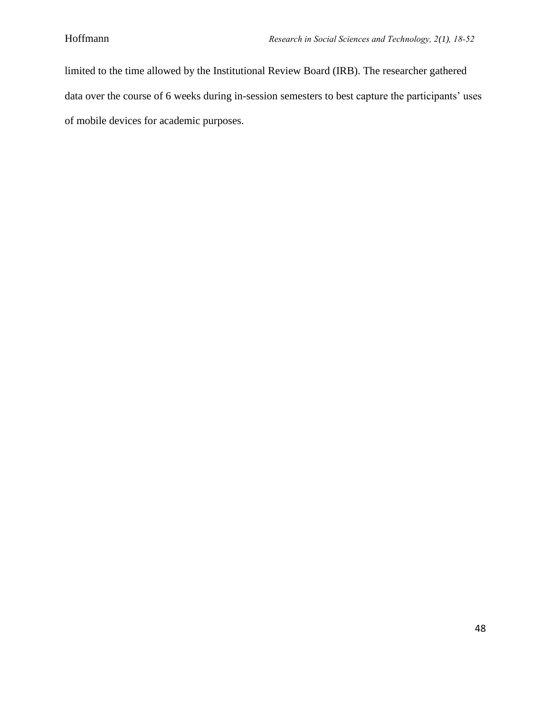limited to the time allowed by the Institutional Review Board (IRB). The researcher gathered data over the course of 6 weeks during in-session semesters to best capture the participants' uses of mobile devices for academic purposes.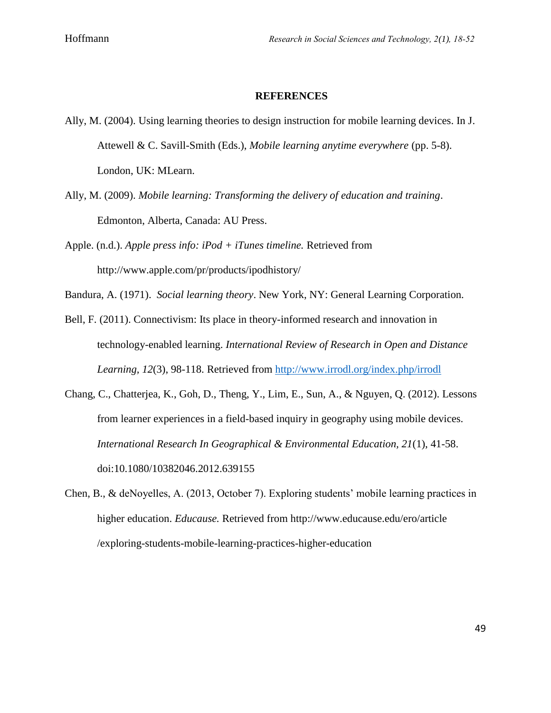### **REFERENCES**

- Ally, M. (2004). Using learning theories to design instruction for mobile learning devices. In J. Attewell & C. Savill-Smith (Eds.), *Mobile learning anytime everywhere* (pp. 5-8). London, UK: MLearn.
- Ally, M. (2009). *Mobile learning: Transforming the delivery of education and training*. Edmonton, Alberta, Canada: AU Press.
- Apple. (n.d.). *Apple press info: iPod + iTunes timeline.* Retrieved from http://www.apple.com/pr/products/ipodhistory/
- Bandura, A. (1971). *Social learning theory*. New York, NY: General Learning Corporation*.*

Bell, F. (2011). Connectivism: Its place in theory-informed research and innovation in technology-enabled learning. *International Review of Research in Open and Distance Learning, 12*(3), 98-118. Retrieved from<http://www.irrodl.org/index.php/irrodl>

- Chang, C., Chatterjea, K., Goh, D., Theng, Y., Lim, E., Sun, A., & Nguyen, Q. (2012). Lessons from learner experiences in a field-based inquiry in geography using mobile devices. *International Research In Geographical & Environmental Education, 21*(1), 41-58. doi:10.1080/10382046.2012.639155
- Chen, B., & deNoyelles, A. (2013, October 7). Exploring students' mobile learning practices in higher education. *Educause.* Retrieved from http://www.educause.edu/ero/article /exploring-students-mobile-learning-practices-higher-education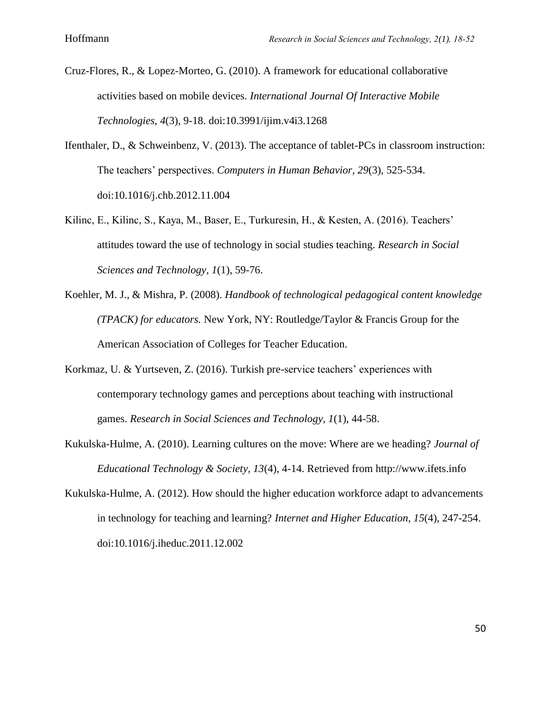- Cruz-Flores, R., & Lopez-Morteo, G. (2010). A framework for educational collaborative activities based on mobile devices. *International Journal Of Interactive Mobile Technologies*, *4*(3), 9-18. doi:10.3991/ijim.v4i3.1268
- Ifenthaler, D., & Schweinbenz, V. (2013). The acceptance of tablet-PCs in classroom instruction: The teachers' perspectives. *Computers in Human Behavior, 29*(3), 525-534. doi:10.1016/j.chb.2012.11.004
- Kilinc, E., Kilinc, S., Kaya, M., Baser, E., Turkuresin, H., & Kesten, A. (2016). Teachers' attitudes toward the use of technology in social studies teaching. *Research in Social Sciences and Technology, 1*(1), 59-76.
- Koehler, M. J., & Mishra, P. (2008). *Handbook of technological pedagogical content knowledge (TPACK) for educators.* New York, NY: Routledge/Taylor & Francis Group for the American Association of Colleges for Teacher Education.
- Korkmaz, U. & Yurtseven, Z. (2016). Turkish pre-service teachers' experiences with contemporary technology games and perceptions about teaching with instructional games. *Research in Social Sciences and Technology, 1*(1), 44-58.
- Kukulska-Hulme, A. (2010). Learning cultures on the move: Where are we heading? *Journal of Educational Technology & Society, 13*(4), 4-14. Retrieved from http://www.ifets.info
- Kukulska-Hulme, A. (2012). How should the higher education workforce adapt to advancements in technology for teaching and learning? *Internet and Higher Education*, *15*(4), 247-254. doi:10.1016/j.iheduc.2011.12.002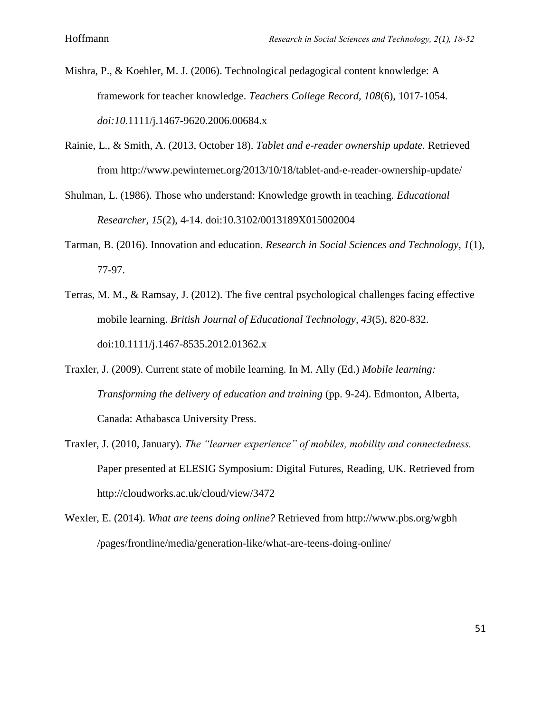- Mishra, P., & Koehler, M. J. (2006). Technological pedagogical content knowledge: A framework for teacher knowledge. *Teachers College Record, 108*(6), 1017-1054*. doi:10.*1111/j.1467-9620.2006.00684.x
- Rainie, L., & Smith, A. (2013, October 18). *Tablet and e-reader ownership update.* Retrieved from http://www.pewinternet.org/2013/10/18/tablet-and-e-reader-ownership-update/
- Shulman, L. (1986). Those who understand: Knowledge growth in teaching. *Educational Researcher, 15*(2), 4-14. doi:10.3102/0013189X015002004
- Tarman, B. (2016). Innovation and education. *Research in Social Sciences and Technology, 1*(1), 77-97.
- Terras, M. M., & Ramsay, J. (2012). The five central psychological challenges facing effective mobile learning. *British Journal of Educational Technology, 43*(5), 820-832. doi:10.1111/j.1467-8535.2012.01362.x
- Traxler, J. (2009). Current state of mobile learning. In M. Ally (Ed.) *Mobile learning: Transforming the delivery of education and training (pp. 9-24). Edmonton, Alberta,* Canada: Athabasca University Press.
- Traxler, J. (2010, January). *The "learner experience" of mobiles, mobility and connectedness.*  Paper presented at ELESIG Symposium: Digital Futures, Reading, UK. Retrieved from http://cloudworks.ac.uk/cloud/view/3472
- Wexler, E. (2014). *What are teens doing online?* Retrieved from http://www.pbs.org/wgbh /pages/frontline/media/generation-like/what-are-teens-doing-online/